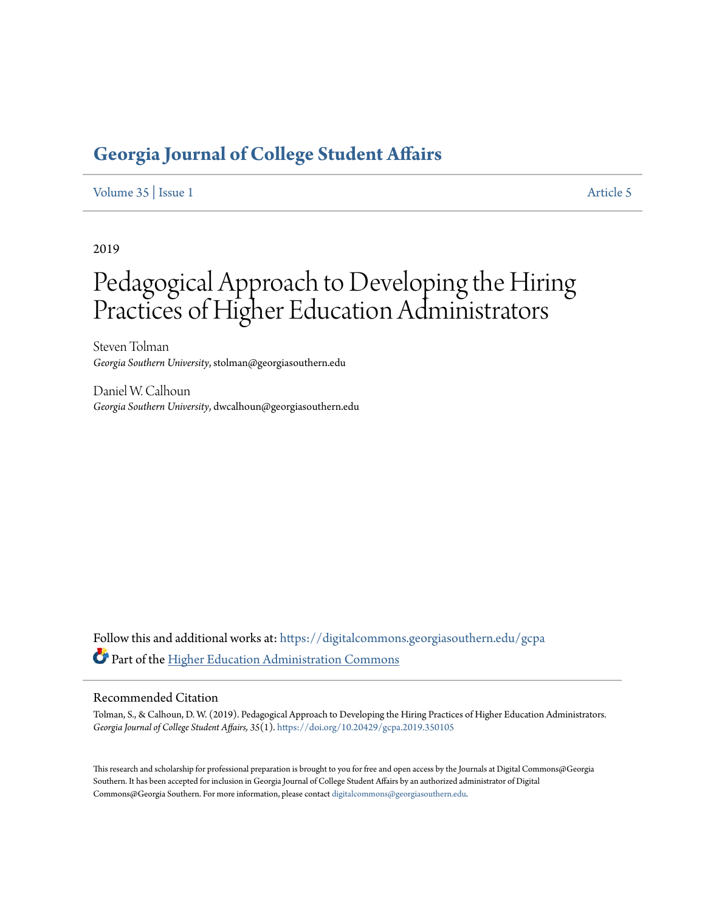## **[Georgia Journal of College Student Affairs](https://digitalcommons.georgiasouthern.edu/gcpa?utm_source=digitalcommons.georgiasouthern.edu%2Fgcpa%2Fvol35%2Fiss1%2F5&utm_medium=PDF&utm_campaign=PDFCoverPages)**

[Volume 35](https://digitalcommons.georgiasouthern.edu/gcpa/vol35?utm_source=digitalcommons.georgiasouthern.edu%2Fgcpa%2Fvol35%2Fiss1%2F5&utm_medium=PDF&utm_campaign=PDFCoverPages) | [Issue 1](https://digitalcommons.georgiasouthern.edu/gcpa/vol35/iss1?utm_source=digitalcommons.georgiasouthern.edu%2Fgcpa%2Fvol35%2Fiss1%2F5&utm_medium=PDF&utm_campaign=PDFCoverPages) [Article 5](https://digitalcommons.georgiasouthern.edu/gcpa/vol35/iss1/5?utm_source=digitalcommons.georgiasouthern.edu%2Fgcpa%2Fvol35%2Fiss1%2F5&utm_medium=PDF&utm_campaign=PDFCoverPages)

2019

# Pedagogical Approach to Developing the Hiring Practices of Higher Education Administrators

Steven Tolman *Georgia Southern University*, stolman@georgiasouthern.edu

Daniel W. Calhoun *Georgia Southern University*, dwcalhoun@georgiasouthern.edu

Follow this and additional works at: [https://digitalcommons.georgiasouthern.edu/gcpa](https://digitalcommons.georgiasouthern.edu/gcpa?utm_source=digitalcommons.georgiasouthern.edu%2Fgcpa%2Fvol35%2Fiss1%2F5&utm_medium=PDF&utm_campaign=PDFCoverPages) Part of the [Higher Education Administration Commons](http://network.bepress.com/hgg/discipline/791?utm_source=digitalcommons.georgiasouthern.edu%2Fgcpa%2Fvol35%2Fiss1%2F5&utm_medium=PDF&utm_campaign=PDFCoverPages)

#### Recommended Citation

Tolman, S., & Calhoun, D. W. (2019). Pedagogical Approach to Developing the Hiring Practices of Higher Education Administrators. *Georgia Journal of College Student Affairs, 35*(1). <https://doi.org/10.20429/gcpa.2019.350105>

This research and scholarship for professional preparation is brought to you for free and open access by the Journals at Digital Commons@Georgia Southern. It has been accepted for inclusion in Georgia Journal of College Student Affairs by an authorized administrator of Digital Commons@Georgia Southern. For more information, please contact [digitalcommons@georgiasouthern.edu.](mailto:digitalcommons@georgiasouthern.edu)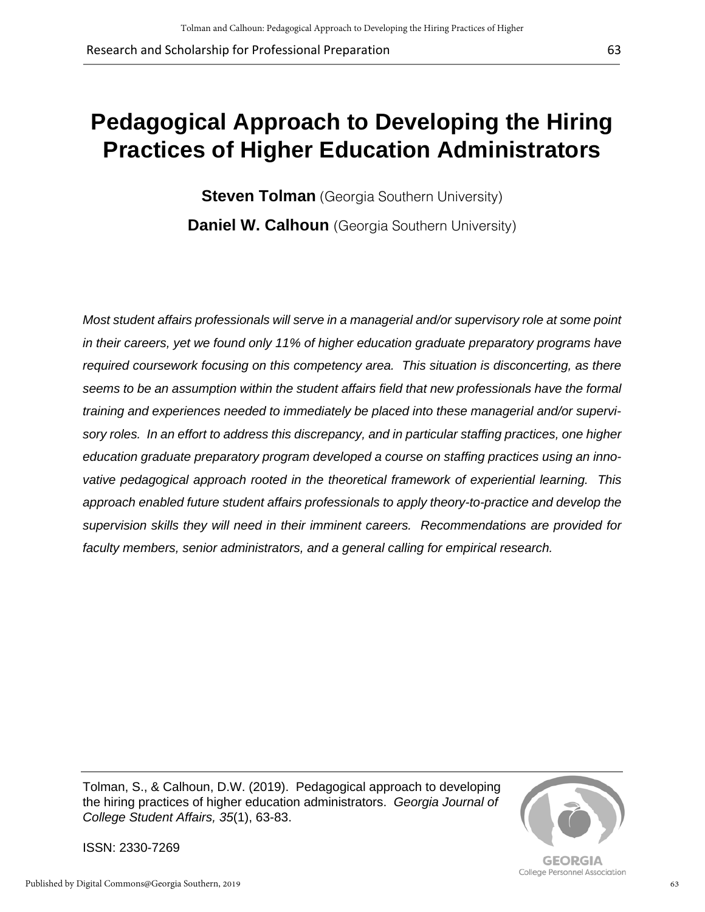# **Pedagogical Approach to Developing the Hiring Practices of Higher Education Administrators**

**Steven Tolman** (Georgia Southern University) **Daniel W. Calhoun** (Georgia Southern University)

*Most student affairs professionals will serve in a managerial and/or supervisory role at some point in their careers, yet we found only 11% of higher education graduate preparatory programs have required coursework focusing on this competency area. This situation is disconcerting, as there seems to be an assumption within the student affairs field that new professionals have the formal training and experiences needed to immediately be placed into these managerial and/or supervisory roles. In an effort to address this discrepancy, and in particular staffing practices, one higher education graduate preparatory program developed a course on staffing practices using an innovative pedagogical approach rooted in the theoretical framework of experiential learning. This approach enabled future student affairs professionals to apply theory-to-practice and develop the supervision skills they will need in their imminent careers. Recommendations are provided for faculty members, senior administrators, and a general calling for empirical research.*

Tolman, S., & Calhoun, D.W. (2019). Pedagogical approach to developing the hiring practices of higher education administrators. *Georgia Journal of College Student Affairs, 35*(1), 63-83.



63

**GEORGIA** College Personnel Association

ISSN: 2330-7269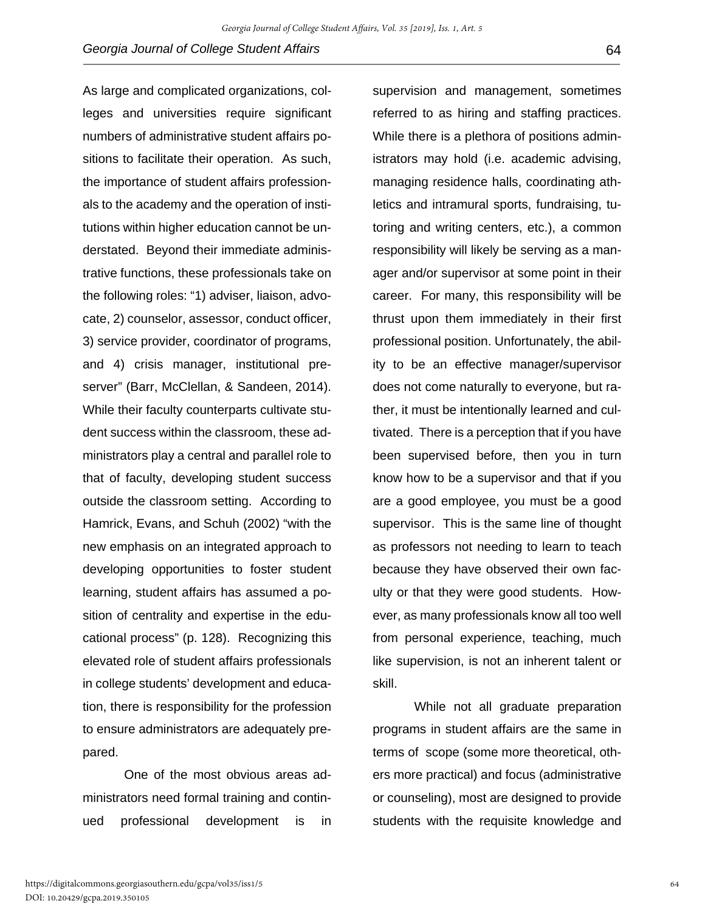As large and complicated organizations, colleges and universities require significant numbers of administrative student affairs positions to facilitate their operation. As such, the importance of student affairs professionals to the academy and the operation of institutions within higher education cannot be understated. Beyond their immediate administrative functions, these professionals take on the following roles: "1) adviser, liaison, advocate, 2) counselor, assessor, conduct officer, 3) service provider, coordinator of programs, and 4) crisis manager, institutional preserver" (Barr, McClellan, & Sandeen, 2014). While their faculty counterparts cultivate student success within the classroom, these administrators play a central and parallel role to that of faculty, developing student success outside the classroom setting. According to Hamrick, Evans, and Schuh (2002) "with the new emphasis on an integrated approach to developing opportunities to foster student learning, student affairs has assumed a position of centrality and expertise in the educational process" (p. 128). Recognizing this elevated role of student affairs professionals in college students' development and education, there is responsibility for the profession to ensure administrators are adequately prepared.

One of the most obvious areas administrators need formal training and continued professional development is in supervision and management, sometimes referred to as hiring and staffing practices. While there is a plethora of positions administrators may hold (i.e. academic advising, managing residence halls, coordinating athletics and intramural sports, fundraising, tutoring and writing centers, etc.), a common responsibility will likely be serving as a manager and/or supervisor at some point in their career. For many, this responsibility will be thrust upon them immediately in their first professional position. Unfortunately, the ability to be an effective manager/supervisor does not come naturally to everyone, but rather, it must be intentionally learned and cultivated. There is a perception that if you have been supervised before, then you in turn know how to be a supervisor and that if you are a good employee, you must be a good supervisor. This is the same line of thought as professors not needing to learn to teach because they have observed their own faculty or that they were good students. However, as many professionals know all too well from personal experience, teaching, much like supervision, is not an inherent talent or skill.

While not all graduate preparation programs in student affairs are the same in terms of scope (some more theoretical, others more practical) and focus (administrative or counseling), most are designed to provide students with the requisite knowledge and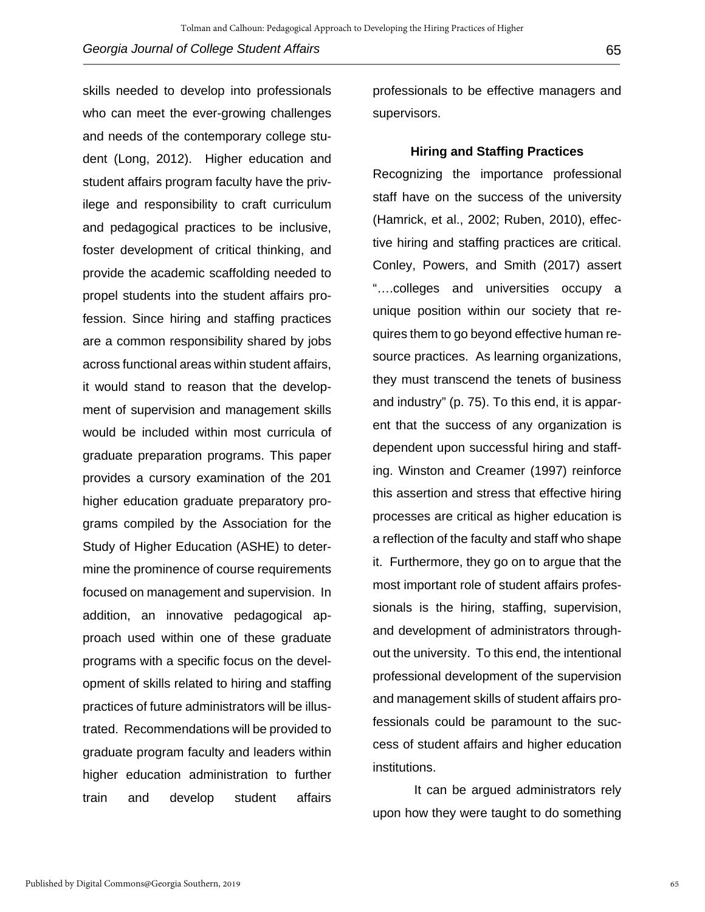skills needed to develop into professionals who can meet the ever-growing challenges and needs of the contemporary college student (Long, 2012). Higher education and student affairs program faculty have the privilege and responsibility to craft curriculum and pedagogical practices to be inclusive, foster development of critical thinking, and provide the academic scaffolding needed to propel students into the student affairs profession. Since hiring and staffing practices are a common responsibility shared by jobs across functional areas within student affairs, it would stand to reason that the development of supervision and management skills would be included within most curricula of graduate preparation programs. This paper provides a cursory examination of the 201 higher education graduate preparatory programs compiled by the Association for the Study of Higher Education (ASHE) to determine the prominence of course requirements focused on management and supervision. In addition, an innovative pedagogical approach used within one of these graduate programs with a specific focus on the development of skills related to hiring and staffing practices of future administrators will be illustrated. Recommendations will be provided to graduate program faculty and leaders within higher education administration to further train and develop student affairs

professionals to be effective managers and supervisors.

#### **Hiring and Staffing Practices**

Recognizing the importance professional staff have on the success of the university (Hamrick, et al., 2002; Ruben, 2010), effective hiring and staffing practices are critical. Conley, Powers, and Smith (2017) assert "….colleges and universities occupy a unique position within our society that requires them to go beyond effective human resource practices. As learning organizations, they must transcend the tenets of business and industry" (p. 75). To this end, it is apparent that the success of any organization is dependent upon successful hiring and staffing. Winston and Creamer (1997) reinforce this assertion and stress that effective hiring processes are critical as higher education is a reflection of the faculty and staff who shape it. Furthermore, they go on to argue that the most important role of student affairs professionals is the hiring, staffing, supervision, and development of administrators throughout the university. To this end, the intentional professional development of the supervision and management skills of student affairs professionals could be paramount to the success of student affairs and higher education institutions.

It can be argued administrators rely upon how they were taught to do something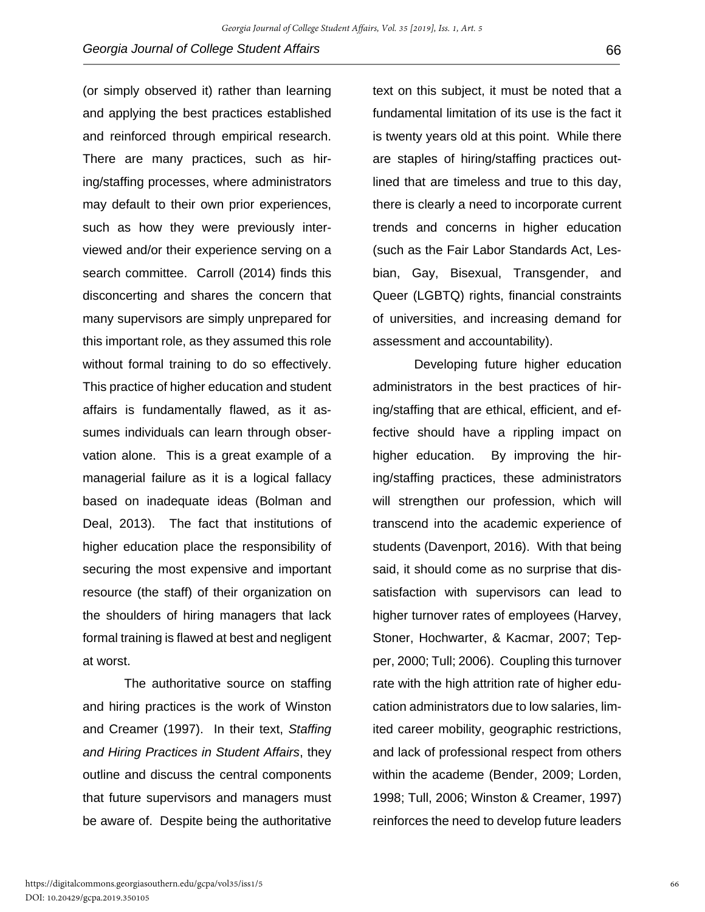(or simply observed it) rather than learning and applying the best practices established and reinforced through empirical research. There are many practices, such as hiring/staffing processes, where administrators may default to their own prior experiences, such as how they were previously interviewed and/or their experience serving on a search committee. Carroll (2014) finds this disconcerting and shares the concern that many supervisors are simply unprepared for this important role, as they assumed this role without formal training to do so effectively. This practice of higher education and student affairs is fundamentally flawed, as it assumes individuals can learn through observation alone. This is a great example of a managerial failure as it is a logical fallacy based on inadequate ideas (Bolman and Deal, 2013). The fact that institutions of higher education place the responsibility of securing the most expensive and important resource (the staff) of their organization on the shoulders of hiring managers that lack formal training is flawed at best and negligent at worst.

The authoritative source on staffing and hiring practices is the work of Winston and Creamer (1997). In their text, *Staffing and Hiring Practices in Student Affairs*, they outline and discuss the central components that future supervisors and managers must be aware of. Despite being the authoritative

text on this subject, it must be noted that a fundamental limitation of its use is the fact it is twenty years old at this point. While there are staples of hiring/staffing practices outlined that are timeless and true to this day, there is clearly a need to incorporate current trends and concerns in higher education (such as the Fair Labor Standards Act, Lesbian, Gay, Bisexual, Transgender, and Queer (LGBTQ) rights, financial constraints of universities, and increasing demand for assessment and accountability).

Developing future higher education administrators in the best practices of hiring/staffing that are ethical, efficient, and effective should have a rippling impact on higher education. By improving the hiring/staffing practices, these administrators will strengthen our profession, which will transcend into the academic experience of students (Davenport, 2016). With that being said, it should come as no surprise that dissatisfaction with supervisors can lead to higher turnover rates of employees (Harvey, Stoner, Hochwarter, & Kacmar, 2007; Tepper, 2000; Tull; 2006). Coupling this turnover rate with the high attrition rate of higher education administrators due to low salaries, limited career mobility, geographic restrictions, and lack of professional respect from others within the academe (Bender, 2009; Lorden, 1998; Tull, 2006; Winston & Creamer, 1997) reinforces the need to develop future leaders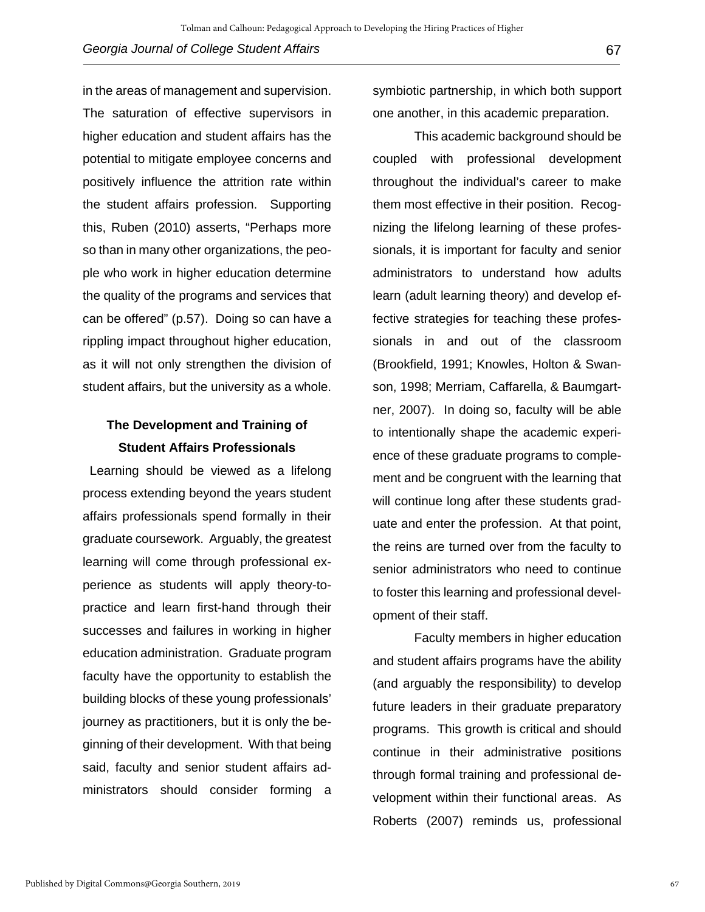in the areas of management and supervision. The saturation of effective supervisors in higher education and student affairs has the potential to mitigate employee concerns and positively influence the attrition rate within the student affairs profession. Supporting this, Ruben (2010) asserts, "Perhaps more so than in many other organizations, the people who work in higher education determine the quality of the programs and services that can be offered" (p.57). Doing so can have a rippling impact throughout higher education, as it will not only strengthen the division of student affairs, but the university as a whole.

## **The Development and Training of Student Affairs Professionals**

 Learning should be viewed as a lifelong process extending beyond the years student affairs professionals spend formally in their graduate coursework. Arguably, the greatest learning will come through professional experience as students will apply theory-topractice and learn first-hand through their successes and failures in working in higher education administration. Graduate program faculty have the opportunity to establish the building blocks of these young professionals' journey as practitioners, but it is only the beginning of their development. With that being said, faculty and senior student affairs administrators should consider forming a

symbiotic partnership, in which both support one another, in this academic preparation.

This academic background should be coupled with professional development throughout the individual's career to make them most effective in their position. Recognizing the lifelong learning of these professionals, it is important for faculty and senior administrators to understand how adults learn (adult learning theory) and develop effective strategies for teaching these professionals in and out of the classroom (Brookfield, 1991; Knowles, Holton & Swanson, 1998; Merriam, Caffarella, & Baumgartner, 2007). In doing so, faculty will be able to intentionally shape the academic experience of these graduate programs to complement and be congruent with the learning that will continue long after these students graduate and enter the profession. At that point, the reins are turned over from the faculty to senior administrators who need to continue to foster this learning and professional development of their staff.

Faculty members in higher education and student affairs programs have the ability (and arguably the responsibility) to develop future leaders in their graduate preparatory programs. This growth is critical and should continue in their administrative positions through formal training and professional development within their functional areas. As Roberts (2007) reminds us, professional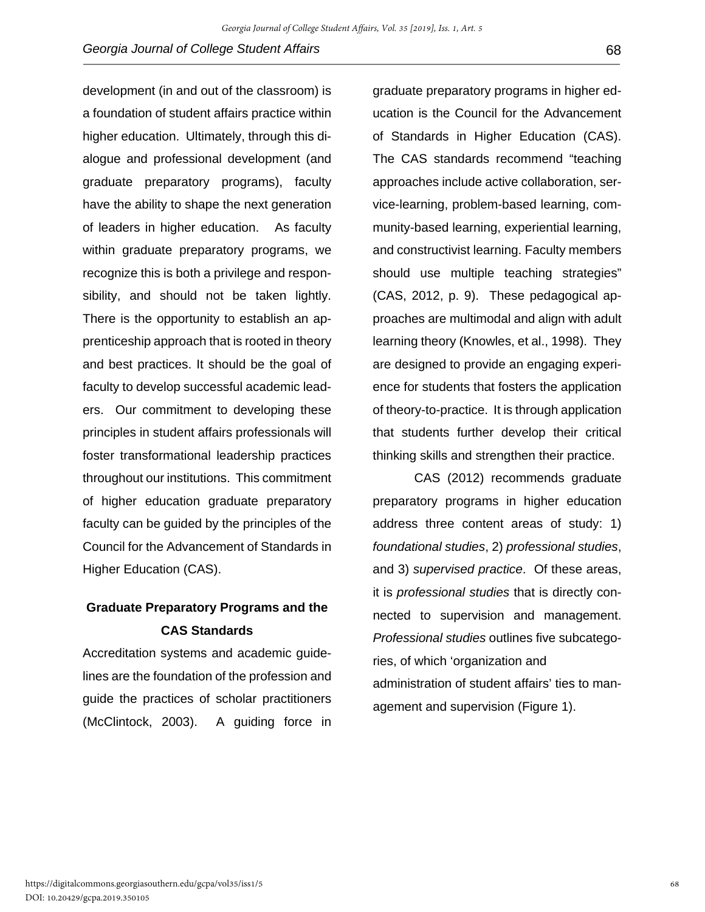development (in and out of the classroom) is a foundation of student affairs practice within higher education. Ultimately, through this dialogue and professional development (and graduate preparatory programs), faculty have the ability to shape the next generation of leaders in higher education. As faculty within graduate preparatory programs, we recognize this is both a privilege and responsibility, and should not be taken lightly. There is the opportunity to establish an apprenticeship approach that is rooted in theory and best practices. It should be the goal of faculty to develop successful academic leaders. Our commitment to developing these principles in student affairs professionals will foster transformational leadership practices throughout our institutions. This commitment of higher education graduate preparatory faculty can be guided by the principles of the Council for the Advancement of Standards in Higher Education (CAS).

## **Graduate Preparatory Programs and the CAS Standards**

Accreditation systems and academic guidelines are the foundation of the profession and guide the practices of scholar practitioners (McClintock, 2003). A guiding force in

graduate preparatory programs in higher education is the Council for the Advancement of Standards in Higher Education (CAS). The CAS standards recommend "teaching approaches include active collaboration, service-learning, problem-based learning, community-based learning, experiential learning, and constructivist learning. Faculty members should use multiple teaching strategies" (CAS, 2012, p. 9). These pedagogical approaches are multimodal and align with adult learning theory (Knowles, et al., 1998). They are designed to provide an engaging experience for students that fosters the application of theory-to-practice. It is through application that students further develop their critical thinking skills and strengthen their practice.

CAS (2012) recommends graduate preparatory programs in higher education address three content areas of study: 1) *foundational studies*, 2) *professional studies*, and 3) *supervised practice*. Of these areas, it is *professional studies* that is directly connected to supervision and management. *Professional studies* outlines five subcategories, of which 'organization and administration of student affairs' ties to management and supervision (Figure 1).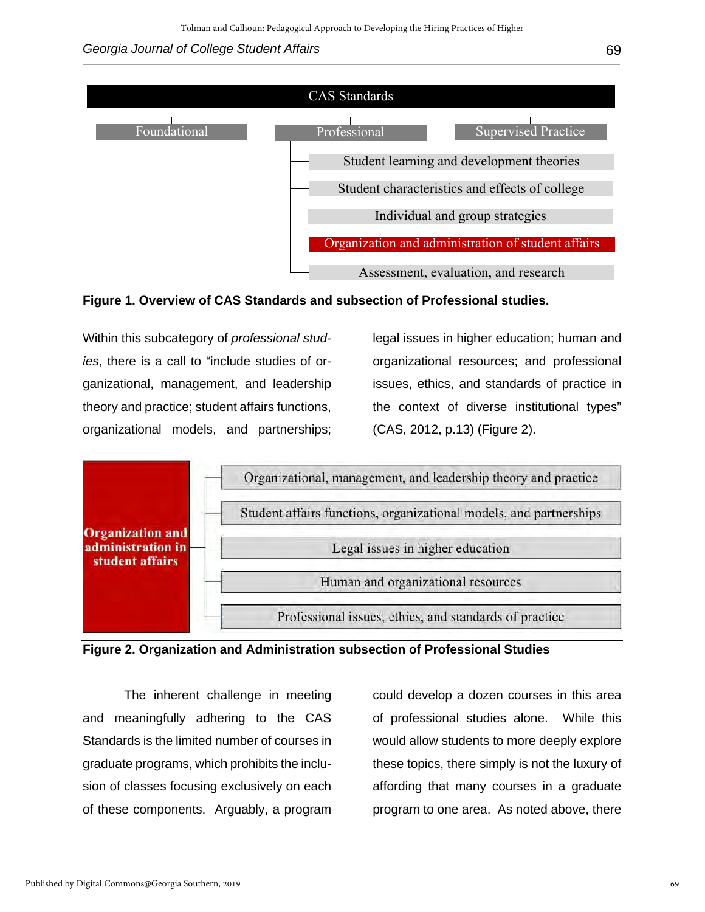#### *Georgia Journal of College Student Affairs* 69





Within this subcategory of *professional studies*, there is a call to "include studies of organizational, management, and leadership theory and practice; student affairs functions, organizational models, and partnerships; legal issues in higher education; human and organizational resources; and professional issues, ethics, and standards of practice in the context of diverse institutional types" (CAS, 2012, p.13) (Figure 2).





The inherent challenge in meeting and meaningfully adhering to the CAS Standards is the limited number of courses in graduate programs, which prohibits the inclusion of classes focusing exclusively on each of these components. Arguably, a program could develop a dozen courses in this area of professional studies alone. While this would allow students to more deeply explore these topics, there simply is not the luxury of affording that many courses in a graduate program to one area. As noted above, there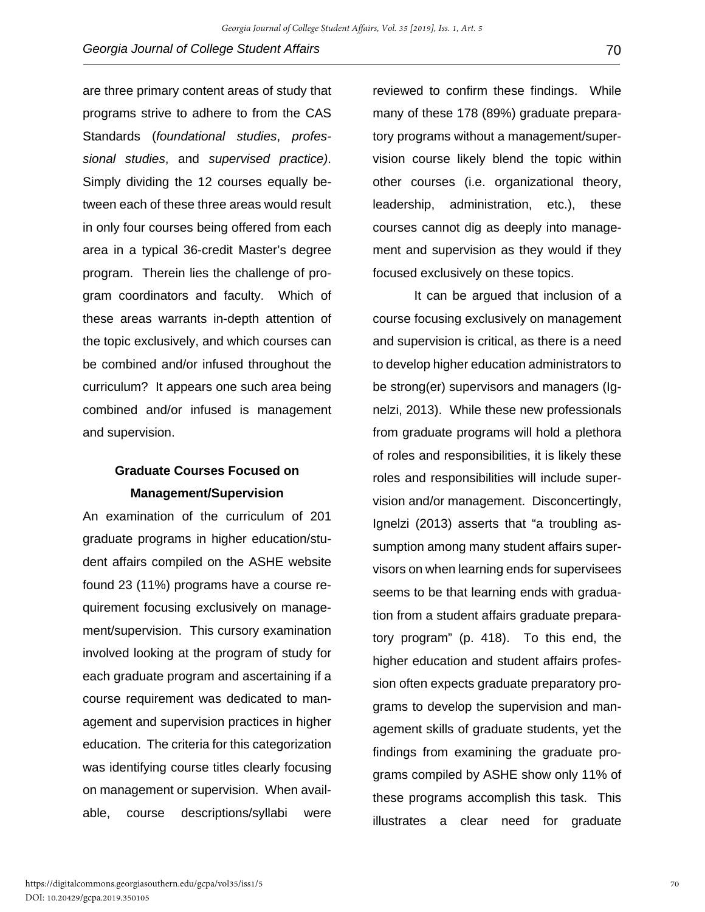are three primary content areas of study that programs strive to adhere to from the CAS Standards (*foundational studies*, *professional studies*, and *supervised practice)*. Simply dividing the 12 courses equally between each of these three areas would result in only four courses being offered from each area in a typical 36-credit Master's degree program. Therein lies the challenge of program coordinators and faculty. Which of these areas warrants in-depth attention of the topic exclusively, and which courses can be combined and/or infused throughout the curriculum? It appears one such area being combined and/or infused is management and supervision.

## **Graduate Courses Focused on Management/Supervision**

An examination of the curriculum of 201 graduate programs in higher education/student affairs compiled on the ASHE website found 23 (11%) programs have a course requirement focusing exclusively on management/supervision. This cursory examination involved looking at the program of study for each graduate program and ascertaining if a course requirement was dedicated to management and supervision practices in higher education. The criteria for this categorization was identifying course titles clearly focusing on management or supervision. When available, course descriptions/syllabi were

reviewed to confirm these findings. While many of these 178 (89%) graduate preparatory programs without a management/supervision course likely blend the topic within other courses (i.e. organizational theory, leadership, administration, etc.), these courses cannot dig as deeply into management and supervision as they would if they focused exclusively on these topics.

It can be argued that inclusion of a course focusing exclusively on management and supervision is critical, as there is a need to develop higher education administrators to be strong(er) supervisors and managers (Ignelzi, 2013). While these new professionals from graduate programs will hold a plethora of roles and responsibilities, it is likely these roles and responsibilities will include supervision and/or management. Disconcertingly, Ignelzi (2013) asserts that "a troubling assumption among many student affairs supervisors on when learning ends for supervisees seems to be that learning ends with graduation from a student affairs graduate preparatory program" (p. 418). To this end, the higher education and student affairs profession often expects graduate preparatory programs to develop the supervision and management skills of graduate students, yet the findings from examining the graduate programs compiled by ASHE show only 11% of these programs accomplish this task. This illustrates a clear need for graduate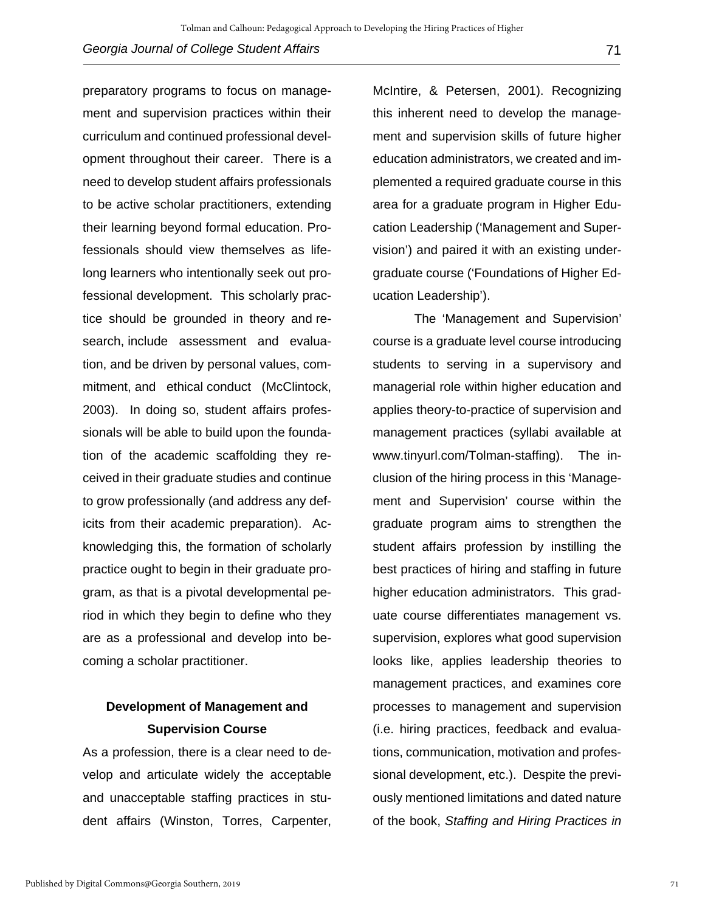preparatory programs to focus on management and supervision practices within their curriculum and continued professional development throughout their career. There is a need to develop student affairs professionals to be active scholar practitioners, extending their learning beyond formal education. Professionals should view themselves as lifelong learners who intentionally seek out professional development. This scholarly practice should be grounded in theory and research, include assessment and evaluation, and be driven by personal values, commitment, and ethical conduct (McClintock, 2003). In doing so, student affairs professionals will be able to build upon the foundation of the academic scaffolding they received in their graduate studies and continue to grow professionally (and address any deficits from their academic preparation). Acknowledging this, the formation of scholarly practice ought to begin in their graduate program, as that is a pivotal developmental period in which they begin to define who they are as a professional and develop into becoming a scholar practitioner.

### **Development of Management and Supervision Course**

As a profession, there is a clear need to develop and articulate widely the acceptable and unacceptable staffing practices in student affairs (Winston, Torres, Carpenter, McIntire, & Petersen, 2001). Recognizing this inherent need to develop the management and supervision skills of future higher education administrators, we created and implemented a required graduate course in this area for a graduate program in Higher Education Leadership ('Management and Supervision') and paired it with an existing undergraduate course ('Foundations of Higher Education Leadership').

The 'Management and Supervision' course is a graduate level course introducing students to serving in a supervisory and managerial role within higher education and applies theory-to-practice of supervision and management practices (syllabi available at www.tinyurl.com/Tolman-staffing). The inclusion of the hiring process in this 'Management and Supervision' course within the graduate program aims to strengthen the student affairs profession by instilling the best practices of hiring and staffing in future higher education administrators. This graduate course differentiates management vs. supervision, explores what good supervision looks like, applies leadership theories to management practices, and examines core processes to management and supervision (i.e. hiring practices, feedback and evaluations, communication, motivation and professional development, etc.). Despite the previously mentioned limitations and dated nature of the book, *Staffing and Hiring Practices in*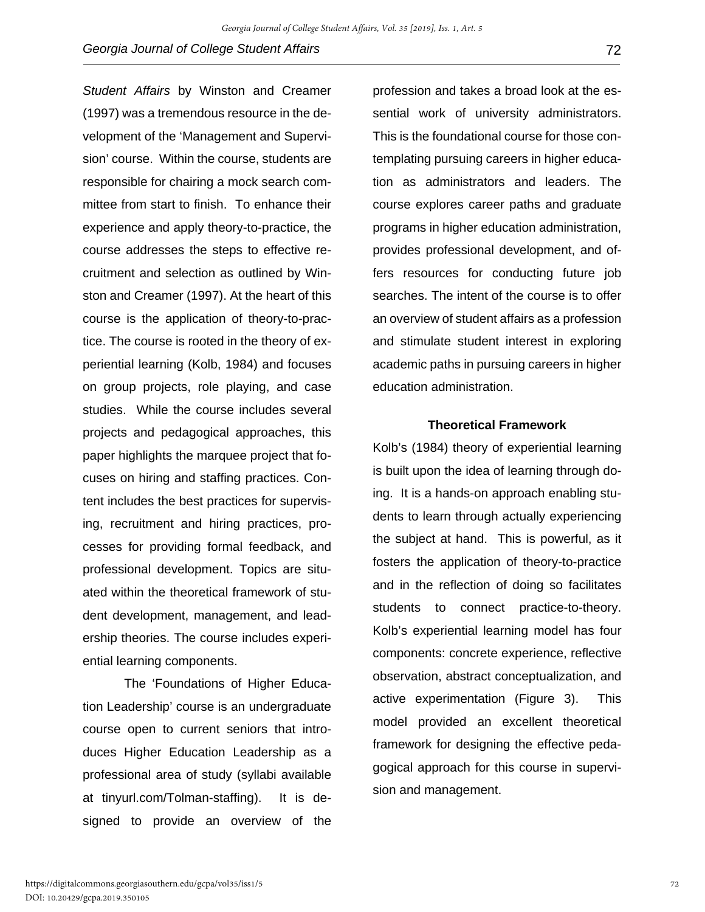*Student Affairs* by Winston and Creamer (1997) was a tremendous resource in the development of the 'Management and Supervision' course. Within the course, students are responsible for chairing a mock search committee from start to finish. To enhance their experience and apply theory-to-practice, the course addresses the steps to effective recruitment and selection as outlined by Winston and Creamer (1997). At the heart of this course is the application of theory-to-practice. The course is rooted in the theory of experiential learning (Kolb, 1984) and focuses on group projects, role playing, and case studies. While the course includes several projects and pedagogical approaches, this paper highlights the marquee project that focuses on hiring and staffing practices. Content includes the best practices for supervising, recruitment and hiring practices, processes for providing formal feedback, and professional development. Topics are situated within the theoretical framework of student development, management, and leadership theories. The course includes experiential learning components.

The 'Foundations of Higher Education Leadership' course is an undergraduate course open to current seniors that introduces Higher Education Leadership as a professional area of study (syllabi available at tinyurl.com/Tolman-staffing). It is designed to provide an overview of the

profession and takes a broad look at the essential work of university administrators. This is the foundational course for those contemplating pursuing careers in higher education as administrators and leaders. The course explores career paths and graduate programs in higher education administration, provides professional development, and offers resources for conducting future job searches. The intent of the course is to offer an overview of student affairs as a profession and stimulate student interest in exploring academic paths in pursuing careers in higher education administration.

#### **Theoretical Framework**

Kolb's (1984) theory of experiential learning is built upon the idea of learning through doing. It is a hands-on approach enabling students to learn through actually experiencing the subject at hand. This is powerful, as it fosters the application of theory-to-practice and in the reflection of doing so facilitates students to connect practice-to-theory. Kolb's experiential learning model has four components: concrete experience, reflective observation, abstract conceptualization, and active experimentation (Figure 3). This model provided an excellent theoretical framework for designing the effective pedagogical approach for this course in supervision and management.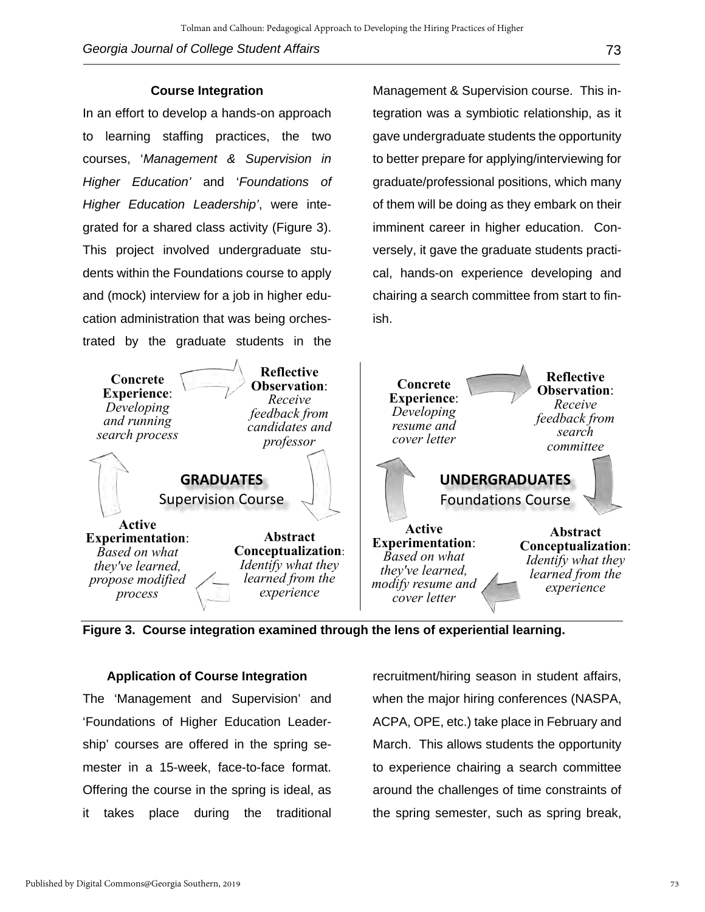In an effort to develop a hands-on approach to learning staffing practices, the two courses, '*Management & Supervision in Higher Education'* and '*Foundations of Higher Education Leadership'*, were integrated for a shared class activity (Figure 3). This project involved undergraduate students within the Foundations course to apply and (mock) interview for a job in higher education administration that was being orchestrated by the graduate students in the

Management & Supervision course. This integration was a symbiotic relationship, as it gave undergraduate students the opportunity to better prepare for applying/interviewing for graduate/professional positions, which many of them will be doing as they embark on their imminent career in higher education. Conversely, it gave the graduate students practical, hands-on experience developing and chairing a search committee from start to finish.



**Figure 3. Course integration examined through the lens of experiential learning.**

#### **Application of Course Integration**

The 'Management and Supervision' and 'Foundations of Higher Education Leadership' courses are offered in the spring semester in a 15-week, face-to-face format. Offering the course in the spring is ideal, as it takes place during the traditional

recruitment/hiring season in student affairs, when the major hiring conferences (NASPA, ACPA, OPE, etc.) take place in February and March. This allows students the opportunity to experience chairing a search committee around the challenges of time constraints of the spring semester, such as spring break,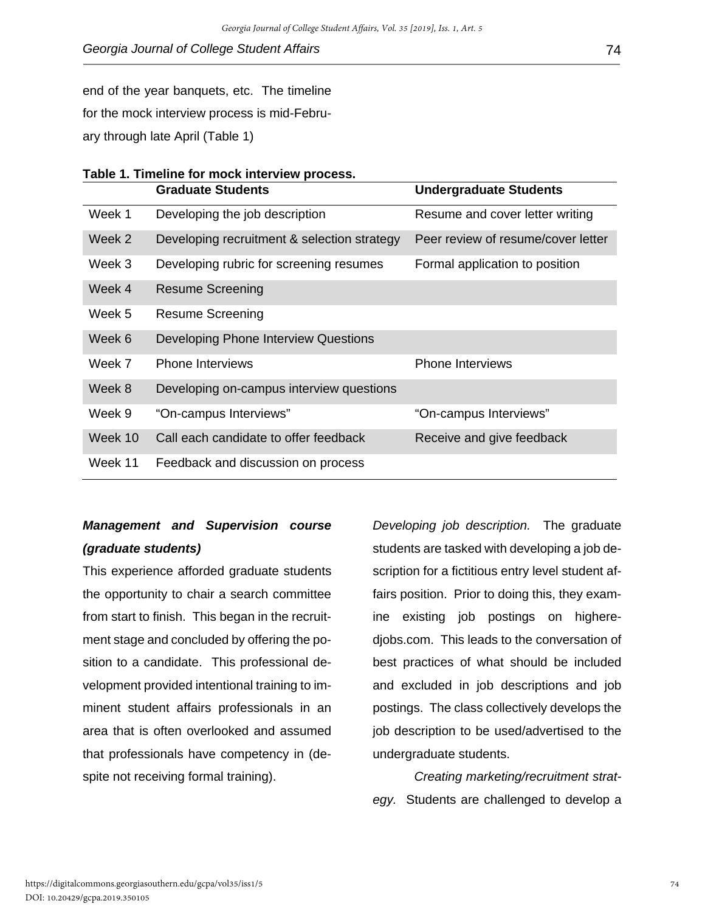end of the year banquets, etc. The timeline

for the mock interview process is mid-Febru-

ary through late April (Table 1)

|                                           | Table 1. Timeline for mock interview process. |  |  |  |  |  |
|-------------------------------------------|-----------------------------------------------|--|--|--|--|--|
| $\sim$ $\sim$ $\sim$ $\sim$ $\sim$ $\sim$ |                                               |  |  |  |  |  |

|         | <b>Graduate Students</b>                    | <b>Undergraduate Students</b>      |  |  |
|---------|---------------------------------------------|------------------------------------|--|--|
| Week 1  | Developing the job description              | Resume and cover letter writing    |  |  |
| Week 2  | Developing recruitment & selection strategy | Peer review of resume/cover letter |  |  |
| Week 3  | Developing rubric for screening resumes     | Formal application to position     |  |  |
| Week 4  | <b>Resume Screening</b>                     |                                    |  |  |
| Week 5  | <b>Resume Screening</b>                     |                                    |  |  |
| Week 6  | Developing Phone Interview Questions        |                                    |  |  |
| Week 7  | <b>Phone Interviews</b>                     | <b>Phone Interviews</b>            |  |  |
| Week 8  | Developing on-campus interview questions    |                                    |  |  |
| Week 9  | "On-campus Interviews"                      | "On-campus Interviews"             |  |  |
| Week 10 | Call each candidate to offer feedback       | Receive and give feedback          |  |  |
| Week 11 | Feedback and discussion on process          |                                    |  |  |

## *Management and Supervision course (graduate students)*

This experience afforded graduate students the opportunity to chair a search committee from start to finish. This began in the recruitment stage and concluded by offering the position to a candidate. This professional development provided intentional training to imminent student affairs professionals in an area that is often overlooked and assumed that professionals have competency in (despite not receiving formal training).

*Developing job description.* The graduate students are tasked with developing a job description for a fictitious entry level student affairs position. Prior to doing this, they examine existing job postings on higheredjobs.com. This leads to the conversation of best practices of what should be included and excluded in job descriptions and job postings. The class collectively develops the job description to be used/advertised to the undergraduate students.

*Creating marketing/recruitment strategy.* Students are challenged to develop a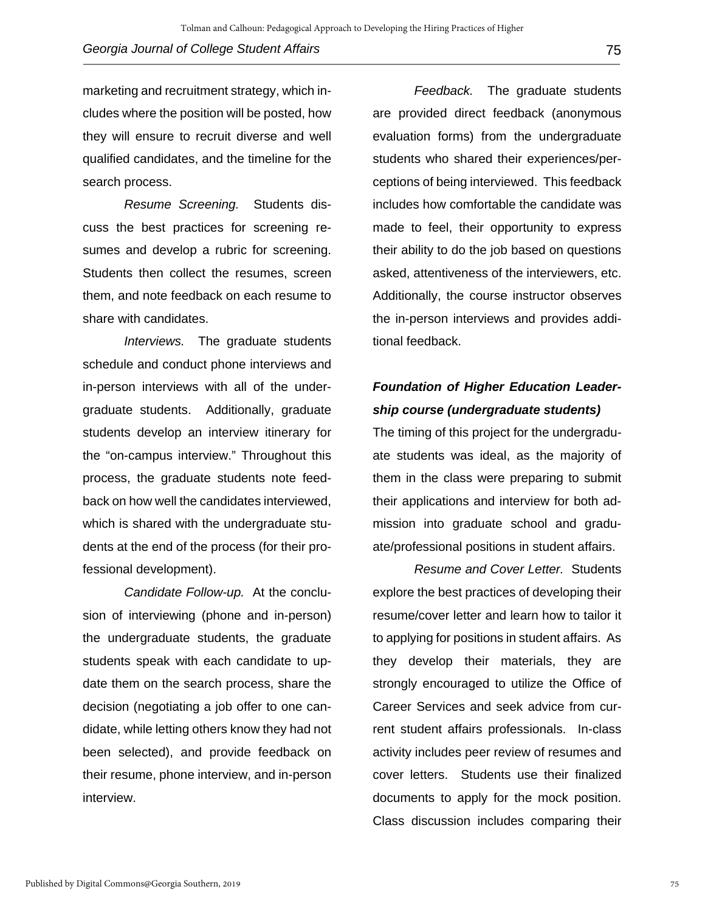marketing and recruitment strategy, which includes where the position will be posted, how they will ensure to recruit diverse and well qualified candidates, and the timeline for the search process.

*Resume Screening.* Students discuss the best practices for screening resumes and develop a rubric for screening. Students then collect the resumes, screen them, and note feedback on each resume to share with candidates.

*Interviews.* The graduate students schedule and conduct phone interviews and in-person interviews with all of the undergraduate students. Additionally, graduate students develop an interview itinerary for the "on-campus interview." Throughout this process, the graduate students note feedback on how well the candidates interviewed, which is shared with the undergraduate students at the end of the process (for their professional development).

*Candidate Follow-up.* At the conclusion of interviewing (phone and in-person) the undergraduate students, the graduate students speak with each candidate to update them on the search process, share the decision (negotiating a job offer to one candidate, while letting others know they had not been selected), and provide feedback on their resume, phone interview, and in-person interview.

*Feedback.* The graduate students are provided direct feedback (anonymous evaluation forms) from the undergraduate students who shared their experiences/perceptions of being interviewed. This feedback includes how comfortable the candidate was made to feel, their opportunity to express their ability to do the job based on questions asked, attentiveness of the interviewers, etc. Additionally, the course instructor observes the in-person interviews and provides additional feedback.

## *Foundation of Higher Education Leadership course (undergraduate students)*

The timing of this project for the undergraduate students was ideal, as the majority of them in the class were preparing to submit their applications and interview for both admission into graduate school and graduate/professional positions in student affairs.

*Resume and Cover Letter.* Students explore the best practices of developing their resume/cover letter and learn how to tailor it to applying for positions in student affairs. As they develop their materials, they are strongly encouraged to utilize the Office of Career Services and seek advice from current student affairs professionals. In-class activity includes peer review of resumes and cover letters. Students use their finalized documents to apply for the mock position. Class discussion includes comparing their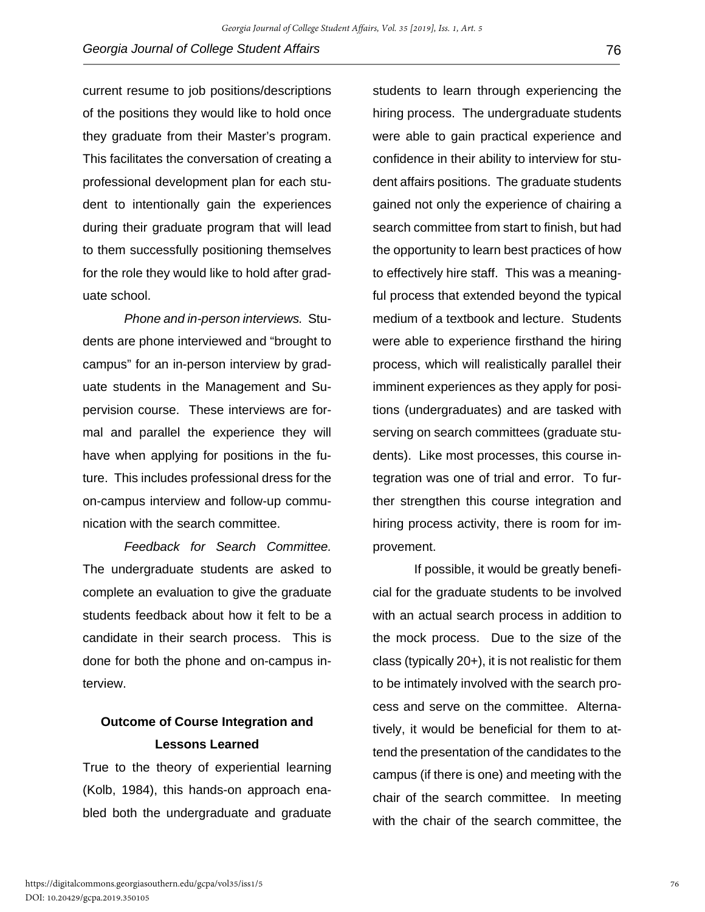current resume to job positions/descriptions of the positions they would like to hold once they graduate from their Master's program. This facilitates the conversation of creating a professional development plan for each student to intentionally gain the experiences during their graduate program that will lead to them successfully positioning themselves for the role they would like to hold after graduate school.

*Phone and in-person interviews.* Students are phone interviewed and "brought to campus" for an in-person interview by graduate students in the Management and Supervision course. These interviews are formal and parallel the experience they will have when applying for positions in the future. This includes professional dress for the on-campus interview and follow-up communication with the search committee.

*Feedback for Search Committee.*  The undergraduate students are asked to complete an evaluation to give the graduate students feedback about how it felt to be a candidate in their search process. This is done for both the phone and on-campus interview.

## **Outcome of Course Integration and Lessons Learned**

True to the theory of experiential learning (Kolb, 1984), this hands-on approach enabled both the undergraduate and graduate

students to learn through experiencing the hiring process. The undergraduate students were able to gain practical experience and confidence in their ability to interview for student affairs positions. The graduate students gained not only the experience of chairing a search committee from start to finish, but had the opportunity to learn best practices of how to effectively hire staff. This was a meaningful process that extended beyond the typical medium of a textbook and lecture. Students were able to experience firsthand the hiring process, which will realistically parallel their imminent experiences as they apply for positions (undergraduates) and are tasked with serving on search committees (graduate students). Like most processes, this course integration was one of trial and error. To further strengthen this course integration and hiring process activity, there is room for improvement.

If possible, it would be greatly beneficial for the graduate students to be involved with an actual search process in addition to the mock process. Due to the size of the class (typically 20+), it is not realistic for them to be intimately involved with the search process and serve on the committee. Alternatively, it would be beneficial for them to attend the presentation of the candidates to the campus (if there is one) and meeting with the chair of the search committee. In meeting with the chair of the search committee, the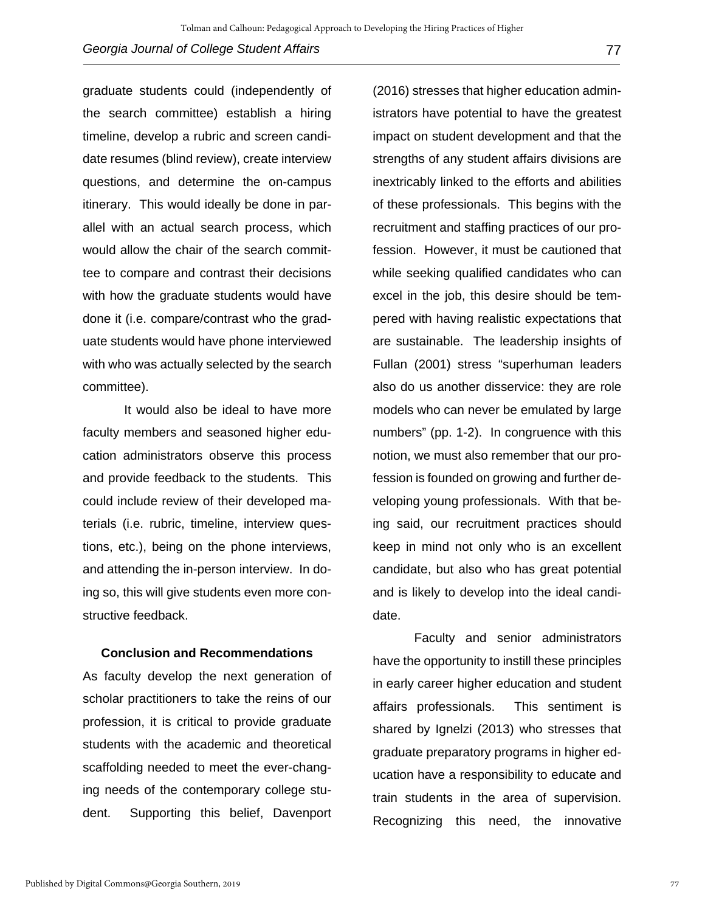graduate students could (independently of the search committee) establish a hiring timeline, develop a rubric and screen candidate resumes (blind review), create interview questions, and determine the on-campus itinerary. This would ideally be done in parallel with an actual search process, which would allow the chair of the search committee to compare and contrast their decisions with how the graduate students would have done it (i.e. compare/contrast who the graduate students would have phone interviewed with who was actually selected by the search committee).

It would also be ideal to have more faculty members and seasoned higher education administrators observe this process and provide feedback to the students. This could include review of their developed materials (i.e. rubric, timeline, interview questions, etc.), being on the phone interviews, and attending the in-person interview. In doing so, this will give students even more constructive feedback.

#### **Conclusion and Recommendations**

As faculty develop the next generation of scholar practitioners to take the reins of our profession, it is critical to provide graduate students with the academic and theoretical scaffolding needed to meet the ever-changing needs of the contemporary college student. Supporting this belief, Davenport

(2016) stresses that higher education administrators have potential to have the greatest impact on student development and that the strengths of any student affairs divisions are inextricably linked to the efforts and abilities of these professionals. This begins with the recruitment and staffing practices of our profession. However, it must be cautioned that while seeking qualified candidates who can excel in the job, this desire should be tempered with having realistic expectations that are sustainable. The leadership insights of Fullan (2001) stress "superhuman leaders also do us another disservice: they are role models who can never be emulated by large numbers" (pp. 1-2). In congruence with this notion, we must also remember that our profession is founded on growing and further developing young professionals. With that being said, our recruitment practices should keep in mind not only who is an excellent candidate, but also who has great potential and is likely to develop into the ideal candidate.

Faculty and senior administrators have the opportunity to instill these principles in early career higher education and student affairs professionals. This sentiment is shared by Ignelzi (2013) who stresses that graduate preparatory programs in higher education have a responsibility to educate and train students in the area of supervision. Recognizing this need, the innovative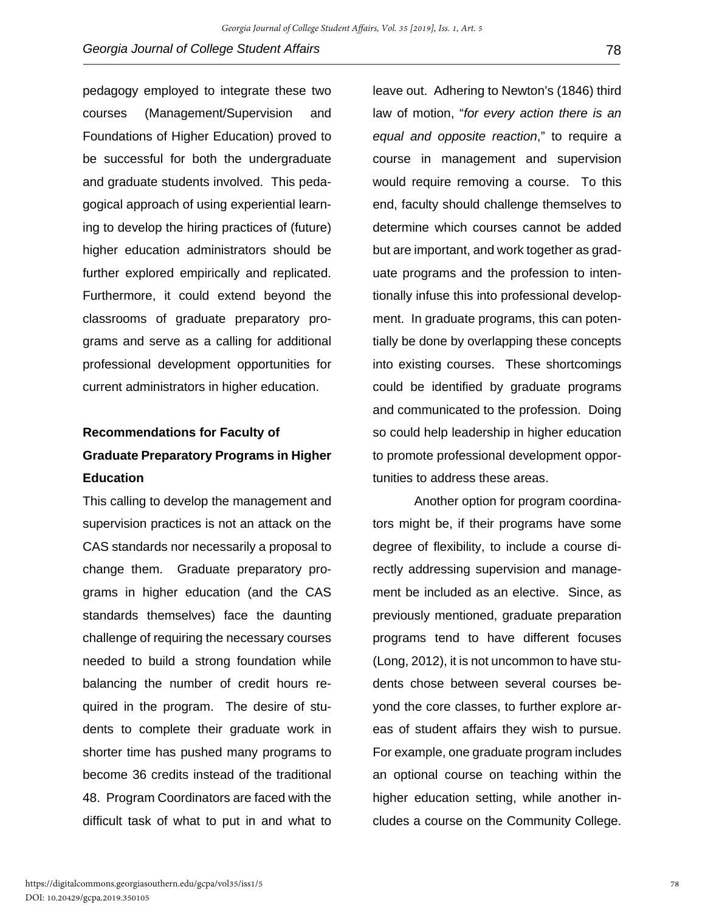pedagogy employed to integrate these two courses (Management/Supervision and Foundations of Higher Education) proved to be successful for both the undergraduate and graduate students involved. This pedagogical approach of using experiential learning to develop the hiring practices of (future) higher education administrators should be further explored empirically and replicated. Furthermore, it could extend beyond the classrooms of graduate preparatory programs and serve as a calling for additional professional development opportunities for current administrators in higher education.

## **Recommendations for Faculty of Graduate Preparatory Programs in Higher Education**

This calling to develop the management and supervision practices is not an attack on the CAS standards nor necessarily a proposal to change them. Graduate preparatory programs in higher education (and the CAS standards themselves) face the daunting challenge of requiring the necessary courses needed to build a strong foundation while balancing the number of credit hours required in the program. The desire of students to complete their graduate work in shorter time has pushed many programs to become 36 credits instead of the traditional 48. Program Coordinators are faced with the difficult task of what to put in and what to

leave out. Adhering to Newton's (1846) third law of motion, "*for every action there is an equal and opposite reaction*," to require a course in management and supervision would require removing a course. To this end, faculty should challenge themselves to determine which courses cannot be added but are important, and work together as graduate programs and the profession to intentionally infuse this into professional development. In graduate programs, this can potentially be done by overlapping these concepts into existing courses. These shortcomings could be identified by graduate programs and communicated to the profession. Doing so could help leadership in higher education to promote professional development opportunities to address these areas.

Another option for program coordinators might be, if their programs have some degree of flexibility, to include a course directly addressing supervision and management be included as an elective. Since, as previously mentioned, graduate preparation programs tend to have different focuses (Long, 2012), it is not uncommon to have students chose between several courses beyond the core classes, to further explore areas of student affairs they wish to pursue. For example, one graduate program includes an optional course on teaching within the higher education setting, while another includes a course on the Community College.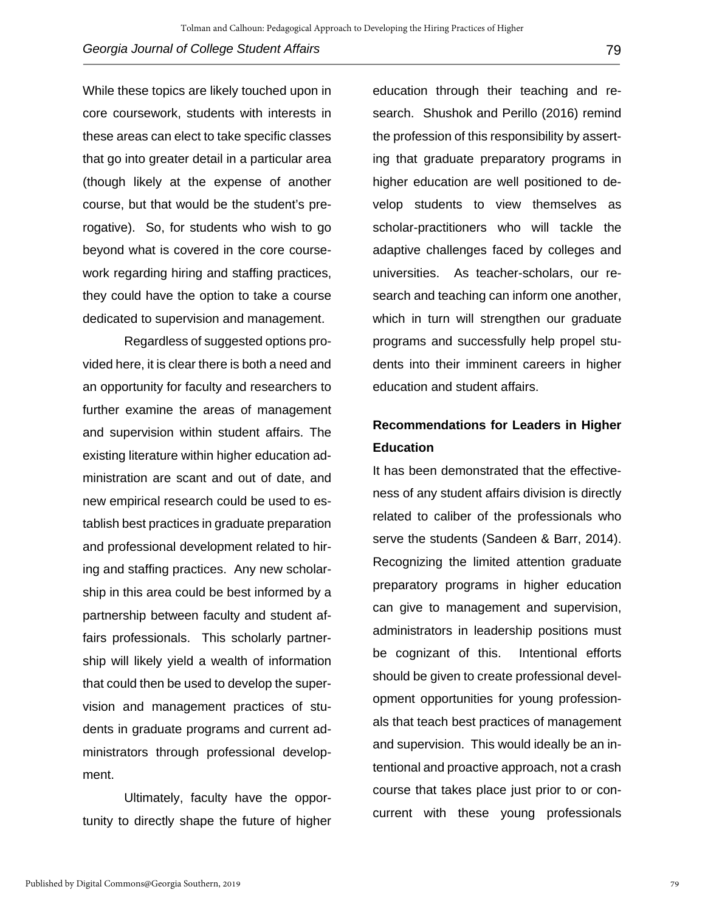While these topics are likely touched upon in core coursework, students with interests in these areas can elect to take specific classes that go into greater detail in a particular area (though likely at the expense of another course, but that would be the student's prerogative). So, for students who wish to go beyond what is covered in the core coursework regarding hiring and staffing practices, they could have the option to take a course dedicated to supervision and management.

Regardless of suggested options provided here, it is clear there is both a need and an opportunity for faculty and researchers to further examine the areas of management and supervision within student affairs. The existing literature within higher education administration are scant and out of date, and new empirical research could be used to establish best practices in graduate preparation and professional development related to hiring and staffing practices. Any new scholarship in this area could be best informed by a partnership between faculty and student affairs professionals. This scholarly partnership will likely yield a wealth of information that could then be used to develop the supervision and management practices of students in graduate programs and current administrators through professional development.

Ultimately, faculty have the opportunity to directly shape the future of higher education through their teaching and research. Shushok and Perillo (2016) remind the profession of this responsibility by asserting that graduate preparatory programs in higher education are well positioned to develop students to view themselves as scholar-practitioners who will tackle the adaptive challenges faced by colleges and universities. As teacher-scholars, our research and teaching can inform one another, which in turn will strengthen our graduate programs and successfully help propel students into their imminent careers in higher education and student affairs.

## **Recommendations for Leaders in Higher Education**

It has been demonstrated that the effectiveness of any student affairs division is directly related to caliber of the professionals who serve the students (Sandeen & Barr, 2014). Recognizing the limited attention graduate preparatory programs in higher education can give to management and supervision, administrators in leadership positions must be cognizant of this. Intentional efforts should be given to create professional development opportunities for young professionals that teach best practices of management and supervision. This would ideally be an intentional and proactive approach, not a crash course that takes place just prior to or concurrent with these young professionals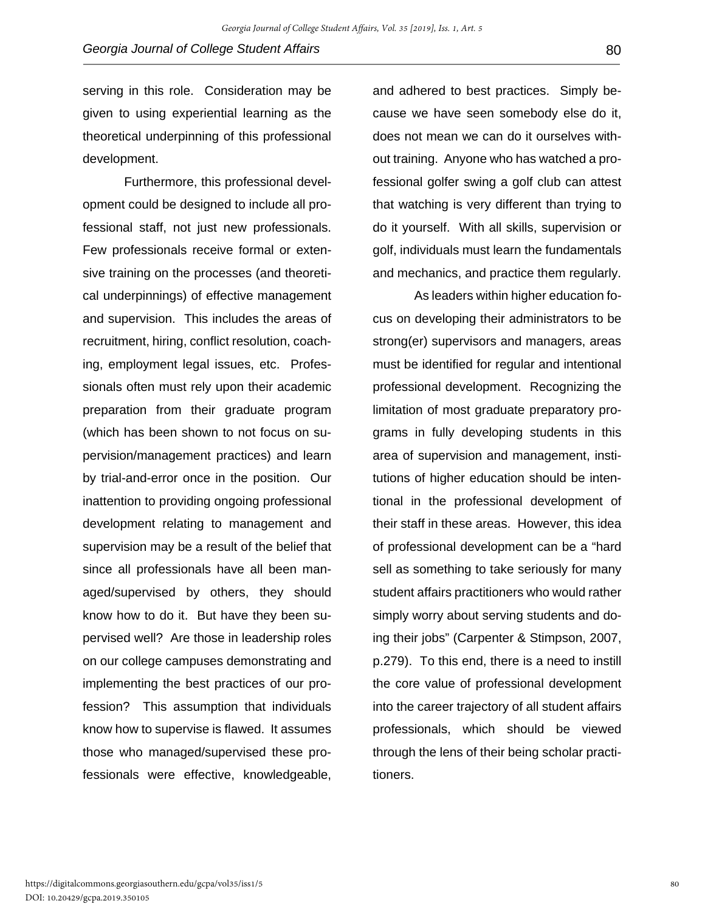serving in this role. Consideration may be given to using experiential learning as the theoretical underpinning of this professional development.

Furthermore, this professional development could be designed to include all professional staff, not just new professionals. Few professionals receive formal or extensive training on the processes (and theoretical underpinnings) of effective management and supervision. This includes the areas of recruitment, hiring, conflict resolution, coaching, employment legal issues, etc. Professionals often must rely upon their academic preparation from their graduate program (which has been shown to not focus on supervision/management practices) and learn by trial-and-error once in the position. Our inattention to providing ongoing professional development relating to management and supervision may be a result of the belief that since all professionals have all been managed/supervised by others, they should know how to do it. But have they been supervised well? Are those in leadership roles on our college campuses demonstrating and implementing the best practices of our profession? This assumption that individuals know how to supervise is flawed. It assumes those who managed/supervised these professionals were effective, knowledgeable,

and adhered to best practices. Simply because we have seen somebody else do it, does not mean we can do it ourselves without training. Anyone who has watched a professional golfer swing a golf club can attest that watching is very different than trying to do it yourself. With all skills, supervision or golf, individuals must learn the fundamentals and mechanics, and practice them regularly.

As leaders within higher education focus on developing their administrators to be strong(er) supervisors and managers, areas must be identified for regular and intentional professional development. Recognizing the limitation of most graduate preparatory programs in fully developing students in this area of supervision and management, institutions of higher education should be intentional in the professional development of their staff in these areas. However, this idea of professional development can be a "hard sell as something to take seriously for many student affairs practitioners who would rather simply worry about serving students and doing their jobs" (Carpenter & Stimpson, 2007, p.279). To this end, there is a need to instill the core value of professional development into the career trajectory of all student affairs professionals, which should be viewed through the lens of their being scholar practitioners.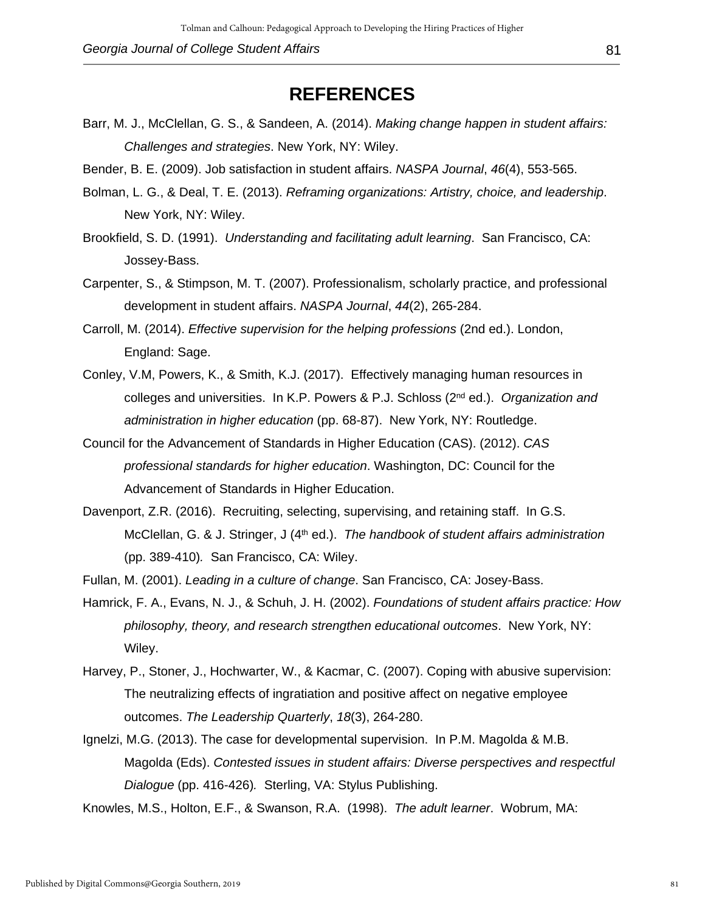## **REFERENCES**

- Barr, M. J., McClellan, G. S., & Sandeen, A. (2014). *Making change happen in student affairs: Challenges and strategies*. New York, NY: Wiley.
- Bender, B. E. (2009). Job satisfaction in student affairs. *NASPA Journal*, *46*(4), 553-565.
- Bolman, L. G., & Deal, T. E. (2013). *Reframing organizations: Artistry, choice, and leadership*. New York, NY: Wiley.
- Brookfield, S. D. (1991). *Understanding and facilitating adult learning*. San Francisco, CA: Jossey-Bass.
- Carpenter, S., & Stimpson, M. T. (2007). Professionalism, scholarly practice, and professional development in student affairs. *NASPA Journal*, *44*(2), 265-284.
- Carroll, M. (2014). *Effective supervision for the helping professions* (2nd ed.). London, England: Sage.
- Conley, V.M, Powers, K., & Smith, K.J. (2017). Effectively managing human resources in colleges and universities. In K.P. Powers & P.J. Schloss (2nd ed.). *Organization and administration in higher education* (pp. 68-87). New York, NY: Routledge.
- Council for the Advancement of Standards in Higher Education (CAS). (2012). *CAS professional standards for higher education*. Washington, DC: Council for the Advancement of Standards in Higher Education.
- Davenport, Z.R. (2016). Recruiting, selecting, supervising, and retaining staff. In G.S. McClellan, G. & J. Stringer, J (4<sup>th</sup> ed.). *The handbook of student affairs administration* (pp. 389-410)*.* San Francisco, CA: Wiley.
- Fullan, M. (2001). *Leading in a culture of change*. San Francisco, CA: Josey-Bass.
- Hamrick, F. A., Evans, N. J., & Schuh, J. H. (2002). *Foundations of student affairs practice: How philosophy, theory, and research strengthen educational outcomes*. New York, NY: Wiley.
- Harvey, P., Stoner, J., Hochwarter, W., & Kacmar, C. (2007). Coping with abusive supervision: The neutralizing effects of ingratiation and positive affect on negative employee outcomes. *The Leadership Quarterly*, *18*(3), 264-280.
- Ignelzi, M.G. (2013). The case for developmental supervision. In P.M. Magolda & M.B. Magolda (Eds). *Contested issues in student affairs: Diverse perspectives and respectful Dialogue* (pp. 416-426)*.* Sterling, VA: Stylus Publishing.

Knowles, M.S., Holton, E.F., & Swanson, R.A. (1998). *The adult learner*. Wobrum, MA: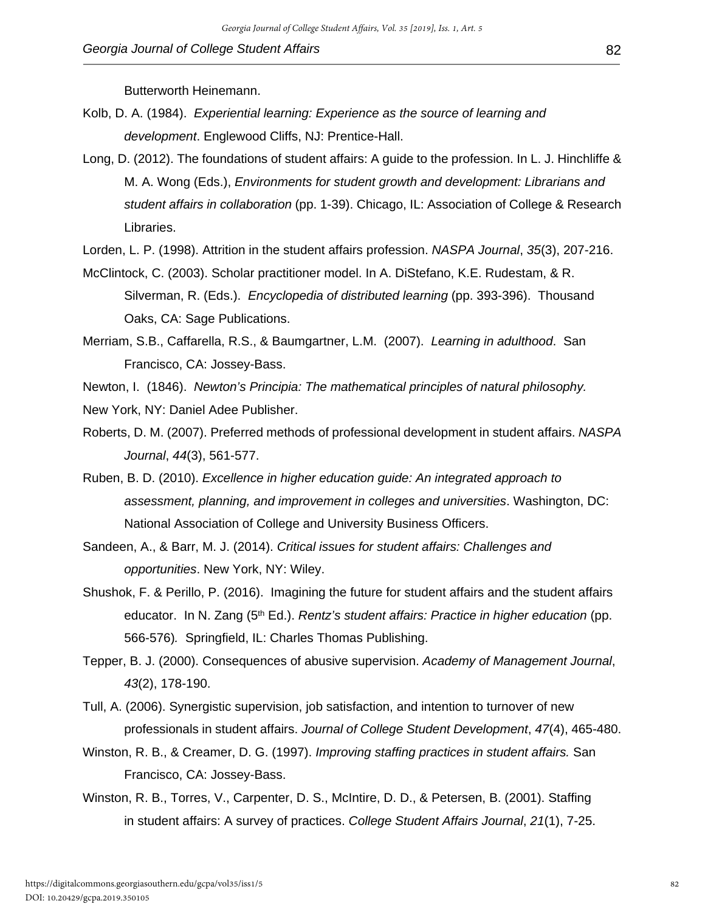Butterworth Heinemann.

- Kolb, D. A. (1984). *Experiential learning: Experience as the source of learning and development*. Englewood Cliffs, NJ: Prentice-Hall.
- Long, D. (2012). The foundations of student affairs: A guide to the profession. In L. J. Hinchliffe & M. A. Wong (Eds.), *Environments for student growth and development: Librarians and student affairs in collaboration* (pp. 1-39). Chicago, IL: Association of College & Research Libraries.
- Lorden, L. P. (1998). Attrition in the student affairs profession. *NASPA Journal*, *35*(3), 207-216.
- McClintock, C. (2003). Scholar practitioner model. In A. DiStefano, K.E. Rudestam, & R. Silverman, R. (Eds.). *Encyclopedia of distributed learning* (pp. 393-396). Thousand Oaks, CA: Sage Publications.
- Merriam, S.B., Caffarella, R.S., & Baumgartner, L.M. (2007). *Learning in adulthood*. San Francisco, CA: Jossey-Bass.
- Newton, I. (1846). *Newton's Principia: The mathematical principles of natural philosophy.*
- New York, NY: Daniel Adee Publisher.
- Roberts, D. M. (2007). Preferred methods of professional development in student affairs. *NASPA Journal*, *44*(3), 561-577.
- Ruben, B. D. (2010). *Excellence in higher education guide: An integrated approach to assessment, planning, and improvement in colleges and universities*. Washington, DC: National Association of College and University Business Officers.
- Sandeen, A., & Barr, M. J. (2014). *Critical issues for student affairs: Challenges and opportunities*. New York, NY: Wiley.
- Shushok, F. & Perillo, P. (2016). Imagining the future for student affairs and the student affairs educator. In N. Zang (5th Ed.). *Rentz's student affairs: Practice in higher education* (pp. 566-576)*.* Springfield, IL: Charles Thomas Publishing.
- Tepper, B. J. (2000). Consequences of abusive supervision. *Academy of Management Journal*, *43*(2), 178-190.
- Tull, A. (2006). Synergistic supervision, job satisfaction, and intention to turnover of new professionals in student affairs. *Journal of College Student Development*, *47*(4), 465-480.
- Winston, R. B., & Creamer, D. G. (1997). *Improving staffing practices in student affairs.* San Francisco, CA: Jossey-Bass.
- Winston, R. B., Torres, V., Carpenter, D. S., McIntire, D. D., & Petersen, B. (2001). Staffing in student affairs: A survey of practices. *College Student Affairs Journal*, *21*(1), 7-25.